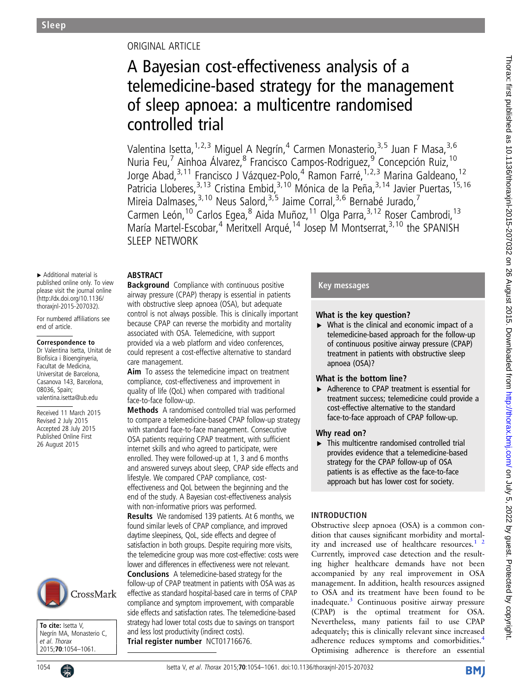## ORIGINAL ARTICLE

# A Bayesian cost-effectiveness analysis of a telemedicine-based strategy for the management of sleep apnoea: a multicentre randomised controlled trial

Valentina Isetta, <sup>1,2,3</sup> Miguel A Negrín, <sup>4</sup> Carmen Monasterio, <sup>3,5</sup> Juan F Masa, <sup>3,6</sup> Nuria Feu,<sup>7</sup> Ainhoa Álvarez,<sup>8</sup> Francisco Campos-Rodriguez,<sup>9</sup> Concepción Ruiz, <sup>10</sup> Jorge Abad,<sup>3,11</sup> Francisco J Vázquez-Polo,<sup>4</sup> Ramon Farré,<sup>1,2,3</sup> Marina Galdeano,<sup>12</sup> Patricia Lloberes,<sup>3,13</sup> Cristina Embid,<sup>3,10</sup> Mónica de la Peña,<sup>3,14</sup> Javier Puertas,<sup>15,16</sup> Mireia Dalmases,<sup>3,10</sup> Neus Salord,<sup>3,5</sup> Jaime Corral,<sup>3,6</sup> Bernabé Jurado,<sup>7</sup> Carmen León,<sup>10</sup> Carlos Egea,<sup>8</sup> Aida Muñoz,<sup>11</sup> Olga Parra,<sup>3,12</sup> Roser Cambrodi,<sup>13</sup> María Martel-Escobar, <sup>4</sup> Meritxell Arqué, <sup>14</sup> Josep M Montserrat, <sup>3, 10</sup> the SPANISH SLEEP NETWORK

#### ABSTRACT **Background** Compliance with continuous positive

care management.

face-to-face follow-up.

airway pressure (CPAP) therapy is essential in patients with obstructive sleep apnoea (OSA), but adequate control is not always possible. This is clinically important because CPAP can reverse the morbidity and mortality associated with OSA. Telemedicine, with support provided via a web platform and video conferences, could represent a cost-effective alternative to standard

Aim To assess the telemedicine impact on treatment compliance, cost-effectiveness and improvement in quality of life (QoL) when compared with traditional

Methods A randomised controlled trial was performed to compare a telemedicine-based CPAP follow-up strategy with standard face-to-face management. Consecutive OSA patients requiring CPAP treatment, with sufficient internet skills and who agreed to participate, were enrolled. They were followed-up at 1, 3 and 6 months and answered surveys about sleep, CPAP side effects and

lifestyle. We compared CPAP compliance, costeffectiveness and QoL between the beginning and the end of the study. A Bayesian cost-effectiveness analysis

with non-informative priors was performed.

and less lost productivity (indirect costs). Trial register number NCT01716676.

Results We randomised 139 patients. At 6 months, we found similar levels of CPAP compliance, and improved daytime sleepiness, QoL, side effects and degree of satisfaction in both groups. Despite requiring more visits, the telemedicine group was more cost-effective: costs were lower and differences in effectiveness were not relevant. Conclusions A telemedicine-based strategy for the follow-up of CPAP treatment in patients with OSA was as effective as standard hospital-based care in terms of CPAP compliance and symptom improvement, with comparable side effects and satisfaction rates. The telemedicine-based strategy had lower total costs due to savings on transport

▸ Additional material is published online only. To view please visit the journal online [\(http://dx.doi.org/10.1136/](http://dx.doi.org/10.1136/thoraxjnl-2015-207032) [thoraxjnl-2015-207032\)](http://dx.doi.org/10.1136/thoraxjnl-2015-207032).

For numbered affiliations see end of article.

#### Correspondence to

Dr Valentina Isetta, Unitat de Biofísica i Bioenginyeria, Facultat de Medicina, Universitat de Barcelona, Casanova 143, Barcelona, 08036, Spain; valentina.isetta@ub.edu

Received 11 March 2015 Revised 2 July 2015 Accepted 28 July 2015 Published Online First 26 August 2015



To cite: Isetta V, Negrín MA, Monasterio C, et al. Thorax 2015;70:1054–1061.

1054 **1054** Isetta V, et al. Thorax 2015;**70**:1054–1061. doi:10.1136/thoraxjnl-2015-207032

## Key messages

## What is the key question?

 $\triangleright$  What is the clinical and economic impact of a telemedicine-based approach for the follow-up of continuous positive airway pressure (CPAP) treatment in patients with obstructive sleep apnoea (OSA)?

## What is the bottom line?

Adherence to CPAP treatment is essential for treatment success; telemedicine could provide a cost-effective alternative to the standard face-to-face approach of CPAP follow-up.

## Why read on?

▸ This multicentre randomised controlled trial provides evidence that a telemedicine-based strategy for the CPAP follow-up of OSA patients is as effective as the face-to-face approach but has lower cost for society.

## INTRODUCTION

Obstructive sleep apnoea (OSA) is a common condition that causes significant morbidity and mortality and increased use of healthcare resources. $12$ Currently, improved case detection and the resulting higher healthcare demands have not been accompanied by any real improvement in OSA management. In addition, health resources assigned to OSA and its treatment have been found to be inadequate.<sup>[3](#page-7-0)</sup> Continuous positive airway pressure (CPAP) is the optimal treatment for OSA. Nevertheless, many patients fail to use CPAP adequately; this is clinically relevant since increased adherence reduces symptoms and comorbidities.<sup>[4](#page-7-0)</sup> Optimising adherence is therefore an essential

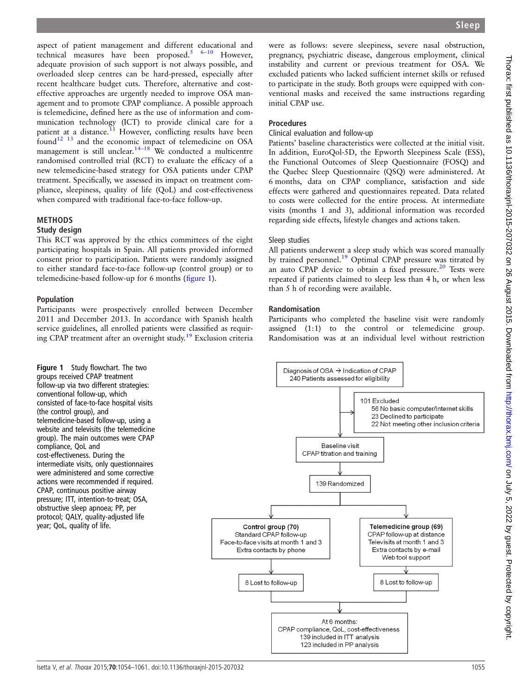<span id="page-1-0"></span>aspect of patient management and different educational and technical measures have been proposed.<sup>[5](#page-7-0) 6–[10](#page-7-0)</sup> However, adequate provision of such support is not always possible, and overloaded sleep centres can be hard-pressed, especially after recent healthcare budget cuts. Therefore, alternative and costeffective approaches are urgently needed to improve OSA management and to promote CPAP compliance. A possible approach is telemedicine, defined here as the use of information and communication technology (ICT) to provide clinical care for a patient at a distance.<sup>[11](#page-7-0)</sup> However, conflicting results have been  $f$ ound<sup>12</sup> <sup>13</sup> and the economic impact of telemedicine on OSA management is still unclear.<sup>[14](#page-7-0)–18</sup> We conducted a multicentre randomised controlled trial (RCT) to evaluate the efficacy of a new telemedicine-based strategy for OSA patients under CPAP treatment. Specifically, we assessed its impact on treatment compliance, sleepiness, quality of life (QoL) and cost-effectiveness when compared with traditional face-to-face follow-up.

### METHODS

#### Study design

This RCT was approved by the ethics committees of the eight participating hospitals in Spain. All patients provided informed consent prior to participation. Patients were randomly assigned to either standard face-to-face follow-up (control group) or to telemedicine-based follow-up for 6 months (figure 1).

#### Population

Participants were prospectively enrolled between December 2011 and December 2013. In accordance with Spanish health service guidelines, all enrolled patients were classified as requiring CPAP treatment after an overnight study.[19](#page-7-0) Exclusion criteria

Figure 1 Study flowchart. The two groups received CPAP treatment follow-up via two different strategies: conventional follow-up, which consisted of face-to-face hospital visits (the control group), and telemedicine-based follow-up, using a website and televisits (the telemedicine group). The main outcomes were CPAP compliance, QoL and cost-effectiveness. During the intermediate visits, only questionnaires were administered and some corrective actions were recommended if required. CPAP, continuous positive airway pressure; ITT, intention-to-treat; OSA, obstructive sleep apnoea; PP, per protocol; QALY, quality-adjusted life year; QoL, quality of life.

were as follows: severe sleepiness, severe nasal obstruction, pregnancy, psychiatric disease, dangerous employment, clinical instability and current or previous treatment for OSA. We excluded patients who lacked sufficient internet skills or refused to participate in the study. Both groups were equipped with conventional masks and received the same instructions regarding initial CPAP use.

## Procedures

## Clinical evaluation and follow-up

Patients' baseline characteristics were collected at the initial visit. In addition, EuroQol-5D, the Epworth Sleepiness Scale (ESS), the Functional Outcomes of Sleep Questionnaire (FOSQ) and the Quebec Sleep Questionnaire (QSQ) were administered. At 6 months, data on CPAP compliance, satisfaction and side effects were gathered and questionnaires repeated. Data related to costs were collected for the entire process. At intermediate visits (months 1 and 3), additional information was recorded regarding side effects, lifestyle changes and actions taken.

### Sleep studies

All patients underwent a sleep study which was scored manually by trained personnel.<sup>19</sup> Optimal CPAP pressure was titrated by an auto CPAP device to obtain a fixed pressure.<sup>[20](#page-7-0)</sup> Tests were repeated if patients claimed to sleep less than 4 h, or when less than 5 h of recording were available.

### Randomisation

Participants who completed the baseline visit were randomly assigned (1:1) to the control or telemedicine group. Randomisation was at an individual level without restriction

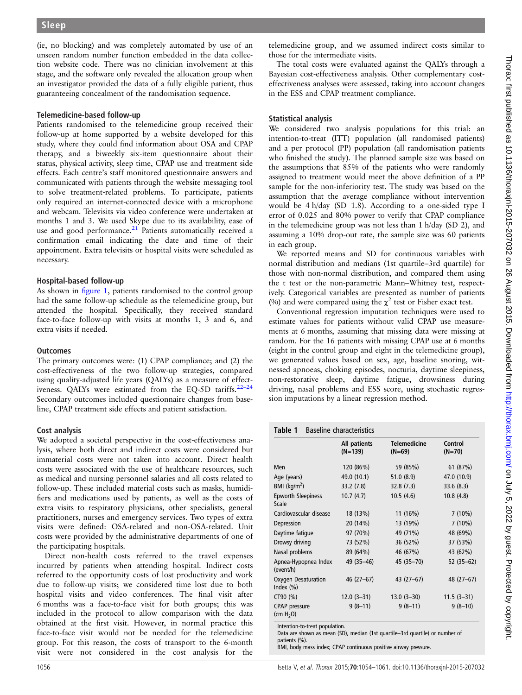<span id="page-2-0"></span>(ie, no blocking) and was completely automated by use of an unseen random number function embedded in the data collection website code. There was no clinician involvement at this stage, and the software only revealed the allocation group when an investigator provided the data of a fully eligible patient, thus guaranteeing concealment of the randomisation sequence.

## Telemedicine-based follow-up

Patients randomised to the telemedicine group received their follow-up at home supported by a website developed for this study, where they could find information about OSA and CPAP therapy, and a biweekly six-item questionnaire about their status, physical activity, sleep time, CPAP use and treatment side effects. Each centre's staff monitored questionnaire answers and communicated with patients through the website messaging tool to solve treatment-related problems. To participate, patients only required an internet-connected device with a microphone and webcam. Televisits via video conference were undertaken at months 1 and 3. We used Skype due to its availability, ease of use and good performance.<sup>[21](#page-7-0)</sup> Patients automatically received a confirmation email indicating the date and time of their appointment. Extra televisits or hospital visits were scheduled as necessary.

## Hospital-based follow-up

As shown in fi[gure 1,](#page-1-0) patients randomised to the control group had the same follow-up schedule as the telemedicine group, but attended the hospital. Specifically, they received standard face-to-face follow-up with visits at months 1, 3 and 6, and extra visits if needed.

## **Outcomes**

The primary outcomes were: (1) CPAP compliance; and (2) the cost-effectiveness of the two follow-up strategies, compared using quality-adjusted life years (QALYs) as a measure of effectiveness. QALYs were estimated from the EQ-5D tariffs. $22-24$  $22-24$ Secondary outcomes included questionnaire changes from baseline, CPAP treatment side effects and patient satisfaction.

## Cost analysis

We adopted a societal perspective in the cost-effectiveness analysis, where both direct and indirect costs were considered but immaterial costs were not taken into account. Direct health costs were associated with the use of healthcare resources, such as medical and nursing personnel salaries and all costs related to follow-up. These included material costs such as masks, humidifiers and medications used by patients, as well as the costs of extra visits to respiratory physicians, other specialists, general practitioners, nurses and emergency services. Two types of extra visits were defined: OSA-related and non-OSA-related. Unit costs were provided by the administrative departments of one of the participating hospitals.

Direct non-health costs referred to the travel expenses incurred by patients when attending hospital. Indirect costs referred to the opportunity costs of lost productivity and work due to follow-up visits; we considered time lost due to both hospital visits and video conferences. The final visit after 6 months was a face-to-face visit for both groups; this was included in the protocol to allow comparison with the data obtained at the first visit. However, in normal practice this face-to-face visit would not be needed for the telemedicine group. For this reason, the costs of transport to the 6-month visit were not considered in the cost analysis for the

telemedicine group, and we assumed indirect costs similar to those for the intermediate visits.

The total costs were evaluated against the QALYs through a Bayesian cost-effectiveness analysis. Other complementary costeffectiveness analyses were assessed, taking into account changes in the ESS and CPAP treatment compliance.

## Statistical analysis

We considered two analysis populations for this trial: an intention-to-treat (ITT) population (all randomised patients) and a per protocol (PP) population (all randomisation patients who finished the study). The planned sample size was based on the assumptions that 85% of the patients who were randomly assigned to treatment would meet the above definition of a PP sample for the non-inferiority test. The study was based on the assumption that the average compliance without intervention would be 4 h/day (SD 1.8). According to a one-sided type I error of 0.025 and 80% power to verify that CPAP compliance in the telemedicine group was not less than 1 h/day (SD 2), and assuming a 10% drop-out rate, the sample size was 60 patients in each group.

We reported means and SD for continuous variables with normal distribution and medians (1st quartile–3rd quartile) for those with non-normal distribution, and compared them using the t test or the non-parametric Mann–Whitney test, respectively. Categorical variables are presented as number of patients (%) and were compared using the  $\chi^2$  test or Fisher exact test.

Conventional regression imputation techniques were used to estimate values for patients without valid CPAP use measurements at 6 months, assuming that missing data were missing at random. For the 16 patients with missing CPAP use at 6 months (eight in the control group and eight in the telemedicine group), we generated values based on sex, age, baseline snoring, witnessed apnoeas, choking episodes, nocturia, daytime sleepiness, non-restorative sleep, daytime fatigue, drowsiness during driving, nasal problems and ESS score, using stochastic regression imputations by a linear regression method.

## Table 1 Baseline characteristics

|                                      | <b>All patients</b><br>$(N=139)$ | <b>Telemedicine</b><br>$(N=69)$ | Control<br>$(N=70)$ |
|--------------------------------------|----------------------------------|---------------------------------|---------------------|
| Men                                  | 120 (86%)                        | 59 (85%)                        | 61 (87%)            |
| Age (years)                          | 49.0 (10.1)                      | 51.0(8.9)                       | 47.0 (10.9)         |
| BMI ( $\text{kg/m}^2$ )              | 33.2 (7.8)                       | 32.8(7.3)                       | 33.6 (8.3)          |
| <b>Epworth Sleepiness</b><br>Scale   | 10.7(4.7)                        | 10.5(4.6)                       | 10.8(4.8)           |
| Cardiovascular disease               | 18 (13%)                         | 11 (16%)                        | $7(10\%)$           |
| Depression                           | 20 (14%)                         | 13 (19%)                        | $7(10\%)$           |
| Daytime fatique                      | 97 (70%)                         | 49 (71%)                        | 48 (69%)            |
| Drowsy driving                       | 73 (52%)                         | 36 (52%)                        | 37 (53%)            |
| Nasal problems                       | 89 (64%)                         | 46 (67%)                        | 43 (62%)            |
| Apnea-Hypopnea Index<br>(event/h)    | 49 (35-46)                       | 45 (35-70)                      | $52(35-62)$         |
| Oxygen Desaturation<br>Index $(\% )$ | 46 (27-67)                       | 43 (27-67)                      | 48 (27-67)          |
| CT90 (%)                             | $12.0(3-31)$                     | $13.0(3-30)$                    | $11.5(3-31)$        |
| <b>CPAP</b> pressure<br>(cm $H_2O$ ) | $9(8-11)$                        | $9(8-11)$                       | $9(8-10)$           |

Intention-to-treat population. Data are shown as mean (SD), median (1st quartile–3rd quartile) or number of patients (%).

BMI, body mass index; CPAP continuous positive airway pressure.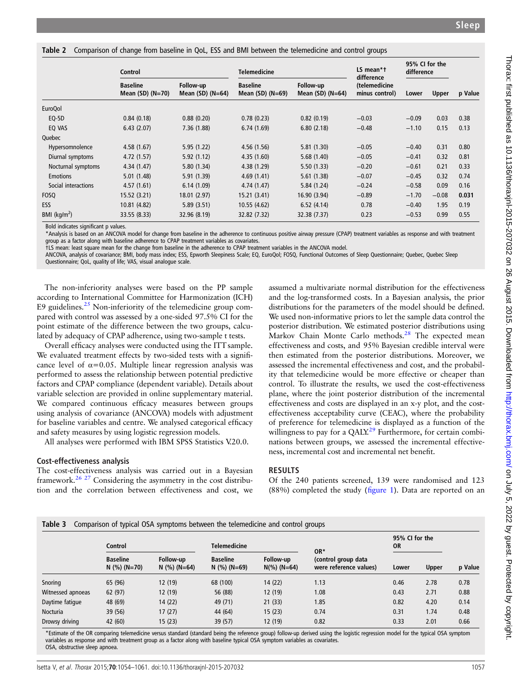<span id="page-3-0"></span>Table 2 Comparison of change from baseline in QoL, ESS and BMI between the telemedicine and control groups

|                     | <b>Control</b>                        |                                 | <b>Telemedicine</b>                   |                                 | LS mean*t<br>difference         | 95% CI for the<br>difference |              |         |
|---------------------|---------------------------------------|---------------------------------|---------------------------------------|---------------------------------|---------------------------------|------------------------------|--------------|---------|
|                     | <b>Baseline</b><br>Mean $(SD)$ (N=70) | Follow-up<br>Mean $(SD)$ (N=64) | <b>Baseline</b><br>Mean $(SD)$ (N=69) | Follow-up<br>Mean $(SD)$ (N=64) | (telemedicine<br>minus control) | Lower                        | <b>Upper</b> | p Value |
| EuroQol             |                                       |                                 |                                       |                                 |                                 |                              |              |         |
| EQ-5D               | 0.84(0.18)                            | 0.88(0.20)                      | 0.78(0.23)                            | 0.82(0.19)                      | $-0.03$                         | $-0.09$                      | 0.03         | 0.38    |
| EQ VAS              | 6.43(2.07)                            | 7.36(1.88)                      | 6.74(1.69)                            | 6.80(2.18)                      | $-0.48$                         | $-1.10$                      | 0.15         | 0.13    |
| Quebec              |                                       |                                 |                                       |                                 |                                 |                              |              |         |
| Hypersomnolence     | 4.58(1.67)                            | 5.95(1.22)                      | 4.56(1.56)                            | 5.81(1.30)                      | $-0.05$                         | $-0.40$                      | 0.31         | 0.80    |
| Diurnal symptoms    | 4.72(1.57)                            | 5.92(1.12)                      | 4.35(1.60)                            | 5.68(1.40)                      | $-0.05$                         | $-0.41$                      | 0.32         | 0.81    |
| Nocturnal symptoms  | 4.34(1.47)                            | 5.80(1.34)                      | 4.38(1.29)                            | 5.50(1.33)                      | $-0.20$                         | $-0.61$                      | 0.21         | 0.33    |
| <b>Emotions</b>     | 5.01(1.48)                            | 5.91(1.39)                      | 4.69(1.41)                            | 5.61(1.38)                      | $-0.07$                         | $-0.45$                      | 0.32         | 0.74    |
| Social interactions | 4.57(1.61)                            | 6.14(1.09)                      | 4.74 (1.47)                           | 5.84(1.24)                      | $-0.24$                         | $-0.58$                      | 0.09         | 0.16    |
| <b>FOSO</b>         | 15.52 (3.21)                          | 18.01 (2.97)                    | 15.21(3.41)                           | 16.90 (3.94)                    | $-0.89$                         | $-1.70$                      | $-0.08$      | 0.031   |
| <b>ESS</b>          | 10.81 (4.82)                          | 5.89(3.51)                      | 10.55 (4.62)                          | 6.52(4.14)                      | 0.78                            | $-0.40$                      | 1.95         | 0.19    |
| BMI ( $kg/m2$ )     | 33.55 (8.33)                          | 32.96 (8.19)                    | 32.82 (7.32)                          | 32.38 (7.37)                    | 0.23                            | $-0.53$                      | 0.99         | 0.55    |

Bold indicates significant p values.

\*Analysis is based on an ANCOVA model for change from baseline in the adherence to continuous positive airway pressure (CPAP) treatment variables as response and with treatment group as a factor along with baseline adherence to CPAP treatment variables as covariates.

†LS mean: least square mean for the change from baseline in the adherence to CPAP treatment variables in the ANCOVA model.

ANCOVA, analysis of covariance; BMI, body mass index; ESS, Epworth Sleepiness Scale; EQ, EuroQol; FOSQ, Functional Outcomes of Sleep Questionnaire; Quebec, Quebec Sleep Questionnaire; QoL, quality of life; VAS, visual analogue scale.

The non-inferiority analyses were based on the PP sample according to International Committee for Harmonization (ICH) E9 guidelines. $25$  Non-inferiority of the telemedicine group compared with control was assessed by a one-sided 97.5% CI for the point estimate of the difference between the two groups, calculated by adequacy of CPAP adherence, using two-sample t tests.

Overall efficacy analyses were conducted using the ITT sample. We evaluated treatment effects by two-sided tests with a significance level of  $\alpha$ =0.05. Multiple linear regression analysis was performed to assess the relationship between potential predictive factors and CPAP compliance (dependent variable). Details about variable selection are provided in online supplementary material. We compared continuous efficacy measures between groups using analysis of covariance (ANCOVA) models with adjustment for baseline variables and centre. We analysed categorical efficacy and safety measures by using logistic regression models.

All analyses were performed with IBM SPSS Statistics V.20.0.

### Cost-effectiveness analysis

The cost-effectiveness analysis was carried out in a Bayesian framework[.26 27](#page-7-0) Considering the asymmetry in the cost distribution and the correlation between effectiveness and cost, we

assumed a multivariate normal distribution for the effectiveness and the log-transformed costs. In a Bayesian analysis, the prior distributions for the parameters of the model should be defined. We used non-informative priors to let the sample data control the posterior distribution. We estimated posterior distributions using Markov Chain Monte Carlo methods.<sup>[28](#page-7-0)</sup> The expected mean effectiveness and costs, and 95% Bayesian credible interval were then estimated from the posterior distributions. Moreover, we assessed the incremental effectiveness and cost, and the probability that telemedicine would be more effective or cheaper than control. To illustrate the results, we used the cost-effectiveness plane, where the joint posterior distribution of the incremental effectiveness and costs are displayed in an x-y plot, and the costeffectiveness acceptability curve (CEAC), where the probability of preference for telemedicine is displayed as a function of the willingness to pay for a QALY.<sup>29</sup> Furthermore, for certain combinations between groups, we assessed the incremental effectiveness, incremental cost and incremental net benefit.

## RESULTS

Of the 240 patients screened, 139 were randomised and 123 (88%) completed the study (fi[gure 1\)](#page-1-0). Data are reported on an

|                   | . .                               | . .                         |                                   |                            | - -                                           |                             |              |         |
|-------------------|-----------------------------------|-----------------------------|-----------------------------------|----------------------------|-----------------------------------------------|-----------------------------|--------------|---------|
|                   | Control                           |                             | <b>Telemedicine</b>               |                            | OR*                                           | 95% CI for the<br><b>OR</b> |              |         |
|                   | <b>Baseline</b><br>$N$ (%) (N=70) | Follow-up<br>$N$ (%) (N=64) | <b>Baseline</b><br>$N$ (%) (N=69) | Follow-up<br>$N(\%)(N=64)$ | (control group data<br>were reference values) | Lower                       | <b>Upper</b> | p Value |
| Snoring           | 65 (96)                           | 12(19)                      | 68 (100)                          | 14 (22)                    | 1.13                                          | 0.46                        | 2.78         | 0.78    |
| Witnessed apnoeas | 62 (97)                           | 12(19)                      | 56 (88)                           | 12 (19)                    | 1.08                                          | 0.43                        | 2.71         | 0.88    |
| Daytime fatique   | 48 (69)                           | 14(22)                      | 49 (71)                           | 21(33)                     | 1.85                                          | 0.82                        | 4.20         | 0.14    |
| Nocturia          | 39(56)                            | 17(27)                      | 44 (64)                           | 15(23)                     | 0.74                                          | 0.31                        | 1.74         | 0.48    |
| Drowsy driving    | 42 (60)                           | 15(23)                      | 39 (57)                           | 12 (19)                    | 0.82                                          | 0.33                        | 2.01         | 0.66    |
|                   |                                   |                             |                                   |                            |                                               |                             |              |         |

\*Estimate of the OR comparing telemedicine versus standard (standard being the reference group) follow-up derived using the logistic regression model for the typical OSA symptom variables as response and with treatment group as a factor along with baseline typical OSA symptom variables as covariates. OSA, obstructive sleep apnoea.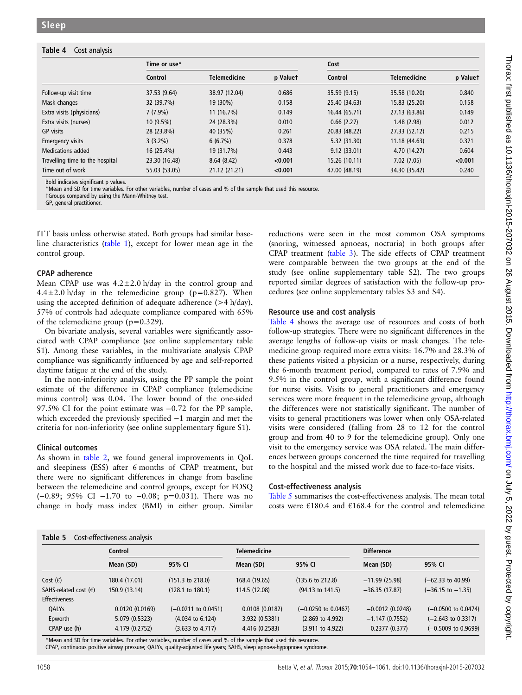## Table 4 Cost analysis

|                                 | Time or use*  |                     |          | Cost          |                     |          |  |
|---------------------------------|---------------|---------------------|----------|---------------|---------------------|----------|--|
|                                 | Control       | <b>Telemedicine</b> | p Valuet | Control       | <b>Telemedicine</b> | p Valuet |  |
| Follow-up visit time            | 37.53 (9.64)  | 38.97 (12.04)       | 0.686    | 35.59 (9.15)  | 35.58 (10.20)       | 0.840    |  |
| Mask changes                    | 32 (39.7%)    | 19 (30%)            | 0.158    | 25.40 (34.63) | 15.83 (25.20)       | 0.158    |  |
| Extra visits (physicians)       | $7(7.9\%)$    | $11(16.7\%)$        | 0.149    | 16.44 (65.71) | 27.13 (63.86)       | 0.149    |  |
| Extra visits (nurses)           | $10(9.5\%)$   | 24 (28.3%)          | 0.010    | 0.66(2.27)    | 1.48(2.98)          | 0.012    |  |
| <b>GP</b> visits                | 28 (23.8%)    | 40 (35%)            | 0.261    | 20.83 (48.22) | 27.33 (52.12)       | 0.215    |  |
| <b>Emergency visits</b>         | $3(3.2\%)$    | $6(6.7\%)$          | 0.378    | 5.32 (31.30)  | 11.18 (44.63)       | 0.371    |  |
| Medications added               | $16(25.4\%)$  | 19 (31.7%)          | 0.443    | 9.12(33.01)   | 4.70 (14.27)        | 0.604    |  |
| Travelling time to the hospital | 23.30 (16.48) | 8.64(8.42)          | < 0.001  | 15.26 (10.11) | 7.02(7.05)          | < 0.001  |  |
| Time out of work                | 55.03 (53.05) | 21.12 (21.21)       | < 0.001  | 47.00 (48.19) | 34.30 (35.42)       | 0.240    |  |

Bold indicates significant p values.

\*Mean and SD for time variables. For other variables, number of cases and % of the sample that used this resource.

†Groups compared by using the Mann-Whitney test.

GP, general practitioner.

ITT basis unless otherwise stated. Both groups had similar baseline characteristics [\(table 1](#page-2-0)), except for lower mean age in the control group.

#### CPAP adherence

Mean CPAP use was  $4.2 \pm 2.0$  h/day in the control group and 4.4 $\pm$ 2.0 h/day in the telemedicine group (p=0.827). When using the accepted definition of adequate adherence (>4 h/day), 57% of controls had adequate compliance compared with 65% of the telemedicine group ( $p=0.329$ ).

On bivariate analysis, several variables were significantly associated with CPAP compliance (see online supplementary table S1). Among these variables, in the multivariate analysis CPAP compliance was significantly influenced by age and self-reported daytime fatigue at the end of the study.

In the non-inferiority analysis, using the PP sample the point estimate of the difference in CPAP compliance (telemedicine minus control) was 0.04. The lower bound of the one-sided 97.5% CI for the point estimate was −0.72 for the PP sample, which exceeded the previously specified −1 margin and met the criteria for non-inferiority (see online supplementary figure S1).

## Clinical outcomes

As shown in [table 2,](#page-3-0) we found general improvements in QoL and sleepiness (ESS) after 6 months of CPAP treatment, but there were no significant differences in change from baseline between the telemedicine and control groups, except for FOSQ (−0.89; 95% CI −1.70 to −0.08; p=0.031). There was no change in body mass index (BMI) in either group. Similar

reductions were seen in the most common OSA symptoms (snoring, witnessed apnoeas, nocturia) in both groups after CPAP treatment [\(table 3](#page-3-0)). The side effects of CPAP treatment were comparable between the two groups at the end of the study (see online supplementary table S2). The two groups reported similar degrees of satisfaction with the follow-up procedures (see online supplementary tables S3 and S4).

## Resource use and cost analysis

Table 4 shows the average use of resources and costs of both follow-up strategies. There were no significant differences in the average lengths of follow-up visits or mask changes. The telemedicine group required more extra visits: 16.7% and 28.3% of these patients visited a physician or a nurse, respectively, during the 6-month treatment period, compared to rates of 7.9% and 9.5% in the control group, with a significant difference found for nurse visits. Visits to general practitioners and emergency services were more frequent in the telemedicine group, although the differences were not statistically significant. The number of visits to general practitioners was lower when only OSA-related visits were considered (falling from 28 to 12 for the control group and from 40 to 9 for the telemedicine group). Only one visit to the emergency service was OSA related. The main differences between groups concerned the time required for travelling to the hospital and the missed work due to face-to-face visits.

### Cost-effectiveness analysis

Table 5 summarises the cost-effectiveness analysis. The mean total costs were  $€180.4$  and  $€168.4$  for the control and telemedicine

### Table 5 Cost-effectiveness analysis

|                                | <b>Control</b> |                             | Telemedicine   |                                | <b>Difference</b> |                                |  |
|--------------------------------|----------------|-----------------------------|----------------|--------------------------------|-------------------|--------------------------------|--|
|                                | Mean (SD)      | 95% CI                      | Mean (SD)      | 95% CI                         | Mean (SD)         | 95% CI                         |  |
| Cost $(\epsilon)$              | 180.4 (17.01)  | $(151.3 \text{ to } 218.0)$ | 168.4 (19.65)  | $(135.6 \text{ to } 212.8)$    | $-11.99(25.98)$   | $(-62.33$ to 40.99)            |  |
| SAHS-related cost $(\epsilon)$ | 150.9 (13.14)  | $(128.1 \text{ to } 180.1)$ | 114.5 (12.08)  | $(94.13 \text{ to } 141.5)$    | $-36.35(17.87)$   | $(-36.15 \text{ to } -1.35)$   |  |
| <b>Effectiveness</b>           |                |                             |                |                                |                   |                                |  |
| QALYs                          | 0.0120(0.0169) | $(-0.0211$ to 0.0451)       | 0.0108(0.0182) | $(-0.0250 \text{ to } 0.0467)$ | $-0.0012(0.0248)$ | $(-0.0500 \text{ to } 0.0474)$ |  |
| Epworth                        | 5.079 (0.5323) | $(4.034 \text{ to } 6.124)$ | 3.932 (0.5381) | $(2.869 \text{ to } 4.992)$    | $-1.147(0.7552)$  | $(-2.643 \text{ to } 0.3317)$  |  |
| CPAP use (h)                   | 4.179 (0.2752) | $(3.633$ to 4.717)          | 4.416 (0.2583) | $(3.911 \text{ to } 4.922)$    | 0.2377(0.377)     | $(-0.5009$ to 0.9699)          |  |

\*Mean and SD for time variables. For other variables, number of cases and % of the sample that used this resource. CPAP, continuous positive airway pressure; QALYs, quality-adjusted life years; SAHS, sleep apnoea-hypopnoea syndrome.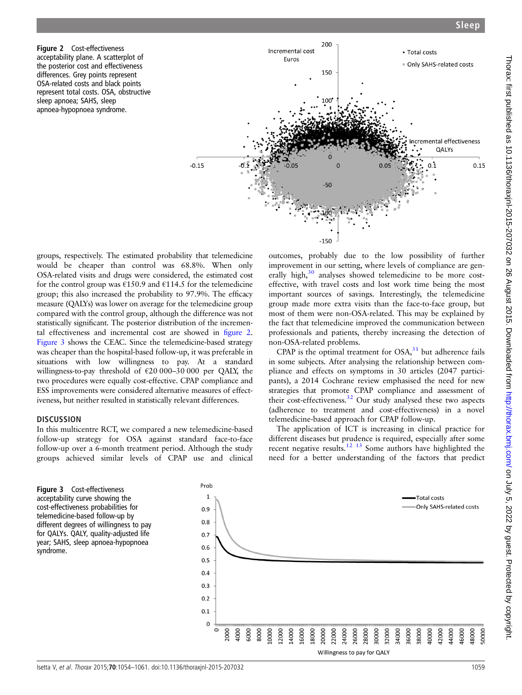Figure 2 Cost-effectiveness acceptability plane. A scatterplot of the posterior cost and effectiveness differences. Grey points represent OSA-related costs and black points represent total costs. OSA, obstructive sleep apnoea; SAHS, sleep apnoea-hypopnoea syndrome.



groups, respectively. The estimated probability that telemedicine would be cheaper than control was 68.8%. When only OSA-related visits and drugs were considered, the estimated cost for the control group was  $\epsilon$ 150.9 and  $\epsilon$ 114.5 for the telemedicine group; this also increased the probability to 97.9%. The efficacy measure (QALYs) was lower on average for the telemedicine group compared with the control group, although the difference was not statistically significant. The posterior distribution of the incremental effectiveness and incremental cost are showed in figure 2. Figure 3 shows the CEAC. Since the telemedicine-based strategy was cheaper than the hospital-based follow-up, it was preferable in situations with low willingness to pay. At a standard willingness-to-pay threshold of  $\epsilon$ 20 000–30 000 per QALY, the two procedures were equally cost-effective. CPAP compliance and ESS improvements were considered alternative measures of effectiveness, but neither resulted in statistically relevant differences.

## **DISCUSSION**

In this multicentre RCT, we compared a new telemedicine-based follow-up strategy for OSA against standard face-to-face follow-up over a 6-month treatment period. Although the study groups achieved similar levels of CPAP use and clinical

Figure 3 Cost-effectiveness acceptability curve showing the cost-effectiveness probabilities for telemedicine-based follow-up by different degrees of willingness to pay for QALYs. QALY, quality-adjusted life year; SAHS, sleep apnoea-hypopnoea syndrome.

Prob  $\overline{1}$ Total costs Only SAHS-related costs  $0.9$  $0.8$  $0.7$  $0.6$  $0.5$  $0.4$  $0.3$  $0.2$  $0.1$  $\mathbf 0$ 22000 18000 50000 16000 24000 28000 38000 10000 12000 8000 0000 14000 18000 20000 26000 30000 32000 34000 36000 Willingness to pay for QALY

outcomes, probably due to the low possibility of further improvement in our setting, where levels of compliance are gen-erally high,<sup>[30](#page-7-0)</sup> analyses showed telemedicine to be more costeffective, with travel costs and lost work time being the most important sources of savings. Interestingly, the telemedicine group made more extra visits than the face-to-face group, but most of them were non-OSA-related. This may be explained by the fact that telemedicine improved the communication between professionals and patients, thereby increasing the detection of non-OSA-related problems.

CPAP is the optimal treatment for  $OSA<sub>31</sub>$  $OSA<sub>31</sub>$  $OSA<sub>31</sub>$  but adherence fails in some subjects. After analysing the relationship between compliance and effects on symptoms in 30 articles (2047 participants), a 2014 Cochrane review emphasised the need for new strategies that promote CPAP compliance and assessment of their cost-effectiveness.<sup>[32](#page-7-0)</sup> Our study analysed these two aspects (adherence to treatment and cost-effectiveness) in a novel telemedicine-based approach for CPAP follow-up.

The application of ICT is increasing in clinical practice for different diseases but prudence is required, especially after some recent negative results.[12 13](#page-7-0) Some authors have highlighted the need for a better understanding of the factors that predict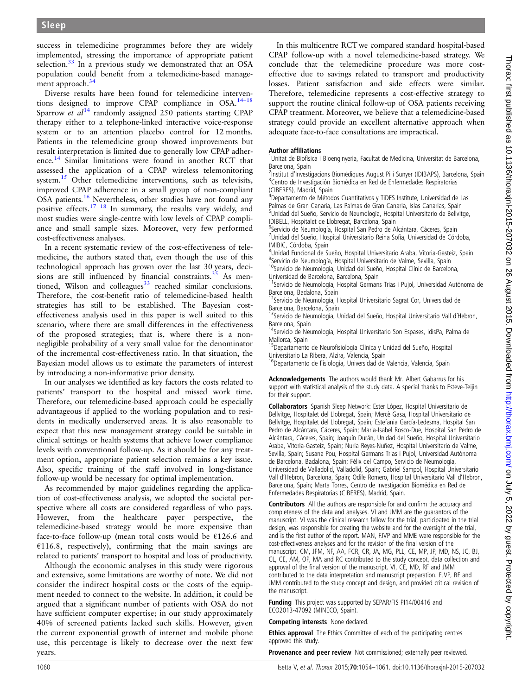success in telemedicine programmes before they are widely implemented, stressing the importance of appropriate patient selection.<sup>[33](#page-7-0)</sup> In a previous study we demonstrated that an OSA population could benefit from a telemedicine-based management approach. $3$ 

Diverse results have been found for telemedicine interven-tions designed to improve CPAP compliance in OSA.<sup>[14](#page-7-0)–18</sup> Sparrow et  $al^{14}$  $al^{14}$  $al^{14}$  randomly assigned 250 patients starting CPAP therapy either to a telephone-linked interactive voice-response system or to an attention placebo control for 12 months. Patients in the telemedicine group showed improvements but result interpretation is limited due to generally low CPAP adherence.[14](#page-7-0) Similar limitations were found in another RCT that assessed the application of a CPAP wireless telemonitoring system.<sup>[15](#page-7-0)</sup> Other telemedicine interventions, such as televisits, improved CPAP adherence in a small group of non-compliant OSA patients.<sup>16</sup> Nevertheless, other studies have not found any positive effects.<sup>17</sup> <sup>18</sup> In summary, the results vary widely, and most studies were single-centre with low levels of CPAP compliance and small sample sizes. Moreover, very few performed cost-effectiveness analyses.

In a recent systematic review of the cost-effectiveness of telemedicine, the authors stated that, even though the use of this technological approach has grown over the last 30 years, decisions are still influenced by financial constraints. $35$  As men-tioned, Wilson and colleagues<sup>[33](#page-7-0)</sup> reached similar conclusions. Therefore, the cost-benefit ratio of telemedicine-based health strategies has still to be established. The Bayesian costeffectiveness analysis used in this paper is well suited to this scenario, where there are small differences in the effectiveness of the proposed strategies; that is, where there is a nonnegligible probability of a very small value for the denominator of the incremental cost-effectiveness ratio. In that situation, the Bayesian model allows us to estimate the parameters of interest by introducing a non-informative prior density.

In our analyses we identified as key factors the costs related to patients' transport to the hospital and missed work time. Therefore, our telemedicine-based approach could be especially advantageous if applied to the working population and to residents in medically underserved areas. It is also reasonable to expect that this new management strategy could be suitable in clinical settings or health systems that achieve lower compliance levels with conventional follow-up. As it should be for any treatment option, appropriate patient selection remains a key issue. Also, specific training of the staff involved in long-distance follow-up would be necessary for optimal implementation.

As recommended by major guidelines regarding the application of cost-effectiveness analysis, we adopted the societal perspective where all costs are considered regardless of who pays. However, from the healthcare payer perspective, the telemedicine-based strategy would be more expensive than face-to-face follow-up (mean total costs would be €126.6 and  $£116.8$ , respectively), confirming that the main savings are related to patients' transport to hospital and loss of productivity.

Although the economic analyses in this study were rigorous and extensive, some limitations are worthy of note. We did not consider the indirect hospital costs or the costs of the equipment needed to connect to the website. In addition, it could be argued that a significant number of patients with OSA do not have sufficient computer expertise; in our study approximately 40% of screened patients lacked such skills. However, given the current exponential growth of internet and mobile phone use, this percentage is likely to decrease over the next few years.

In this multicentre RCT we compared standard hospital-based CPAP follow-up with a novel telemedicine-based strategy. We conclude that the telemedicine procedure was more costeffective due to savings related to transport and productivity losses. Patient satisfaction and side effects were similar. Therefore, telemedicine represents a cost-effective strategy to support the routine clinical follow-up of OSA patients receiving CPAP treatment. Moreover, we believe that a telemedicine-based strategy could provide an excellent alternative approach when adequate face-to-face consultations are impractical.

#### Author affiliations <sup>1</sup>

<sup>1</sup>Unitat de Biofísica i Bioenginyeria, Facultat de Medicina, Universitat de Barcelona, Barcelona, Spain

<sup>2</sup>Institut d'Investigacions Biomèdiques August Pi i Sunyer (IDIBAPS), Barcelona, Spain <sup>3</sup>Contro de Investigación Biomédica en Bod de Enfermedades Bespiratorias <sup>3</sup>Centro de Investigación Biomédica en Red de Enfermedades Respiratorias (CIBERES), Madrid, Spain

<sup>4</sup>Departamento de Métodos Cuantitativos y TiDES Institute, Universidad de Las Palmas de Gran Canaria, Las Palmas de Gran Canaria, Islas Canarias, Spain 5 Unidad del Sueño, Servicio de Neumología, Hospital Universitario de Bellvitge, IDIBELL, Hospitalet de Llobregat, Barcelona, Spain

<sup>6</sup>Servicio de Neumología, Hospital San Pedro de Alcántara, Cáceres, Spain 7 Unidad del Sueño, Hospital Universitario Reina Sofía, Universidad de Córdoba, IMIBIC, Córdoba, Spain

8 Unidad Funcional de Sueño, Hospital Universitario Araba, Vitoria-Gasteiz, Spain <sup>9</sup>Servicio de Neumología, Hospital Universitario de Valme, Sevilla, Spain 10Servicio de Neumología, Unidad del Sueño, Hospital Clínic de Barcelona,

Universidad de Barcelona, Barcelona, Spain <sup>11</sup>Servicio de Neumología, Hospital Germans Trias i Pujol, Universidad Autónoma de Barcelona, Badalona, Spain

12Servicio de Neumología, Hospital Universitario Sagrat Cor, Universidad de Barcelona, Barcelona, Spain

13 Servicio de Neumología, Unidad del Sueño, Hospital Universitario Vall d'Hebron, Barcelona, Spain

14Servicio de Neumología, Hospital Universitario Son Espases, IdisPa, Palma de Mallorca, Spain

15Departamento de Neurofisiología Clínica y Unidad del Sueño, Hospital

Universitario La Ribera, Alzira, Valencia, Spain <sup>16</sup>Departamento de Fisiología, Universidad de Valencia, Valencia, Spain

Acknowledgements The authors would thank Mr. Albert Gabarrus for his support with statistical analysis of the study data. A special thanks to Esteve-Teijin for their support.

Collaborators Spanish Sleep Network: Ester López, Hospital Universitario de Bellvitge, Hospitalet del Llobregat, Spain; Mercè Gasa, Hospital Universitario de Bellvitge, Hospitalet del Llobregat, Spain; Estefania García-Ledesma, Hospital San Pedro de Alcántara, Cáceres, Spain; Maria-Isabel Rosco-Due, Hospital San Pedro de Alcántara, Cáceres, Spain; Joaquín Durán, Unidad del Sueño, Hospital Universitario Araba, Vitoria-Gasteiz, Spain; Nuria Reyes-Nuñez, Hospital Universitario de Valme, Sevilla, Spain; Susana Pou, Hospital Germans Trias i Pujol, Universidad Autónoma de Barcelona, Badalona, Spain; Félix del Campo, Servicio de Neumología, Universidad de Valladolid, Valladolid, Spain; Gabriel Sampol, Hospital Universitario Vall d'Hebron, Barcelona, Spain; Odile Romero, Hospital Universitario Vall d'Hebron, Barcelona, Spain; Marta Torres, Centro de Investigación Biomédica en Red de Enfermedades Respiratorias (CIBERES), Madrid, Spain.

Contributors All the authors are responsible for and confirm the accuracy and completeness of the data and analyses. VI and JMM are the guarantors of the manuscript. VI was the clinical research fellow for the trial, participated in the trial design, was responsible for creating the website and for the oversight of the trial, and is the first author of the report. MAN, FJVP and MME were responsible for the cost-effectiveness analyses and for the revision of the final version of the manuscript. CM, JFM, NF, AA, FCR, CR, JA, MG, PLL, CE, MP, JP, MD, NS, JC, BJ, CL, CE, AM, OP, MA and RC contributed to the study concept, data collection and approval of the final version of the manuscript. VI, CE, MD, RF and JMM contributed to the data interpretation and manuscript preparation. FJVP, RF and JMM contributed to the study concept and design, and provided critical revision of the manuscript.

Funding This project was supported by SEPAR/FIS PI14/00416 and ECO2013-47092 (MINECO, Spain).

Competing interests None declared.

**Ethics approval** The Ethics Committee of each of the participating centres approved this study.

**Provenance and peer review** Not commissioned; externally peer reviewed.